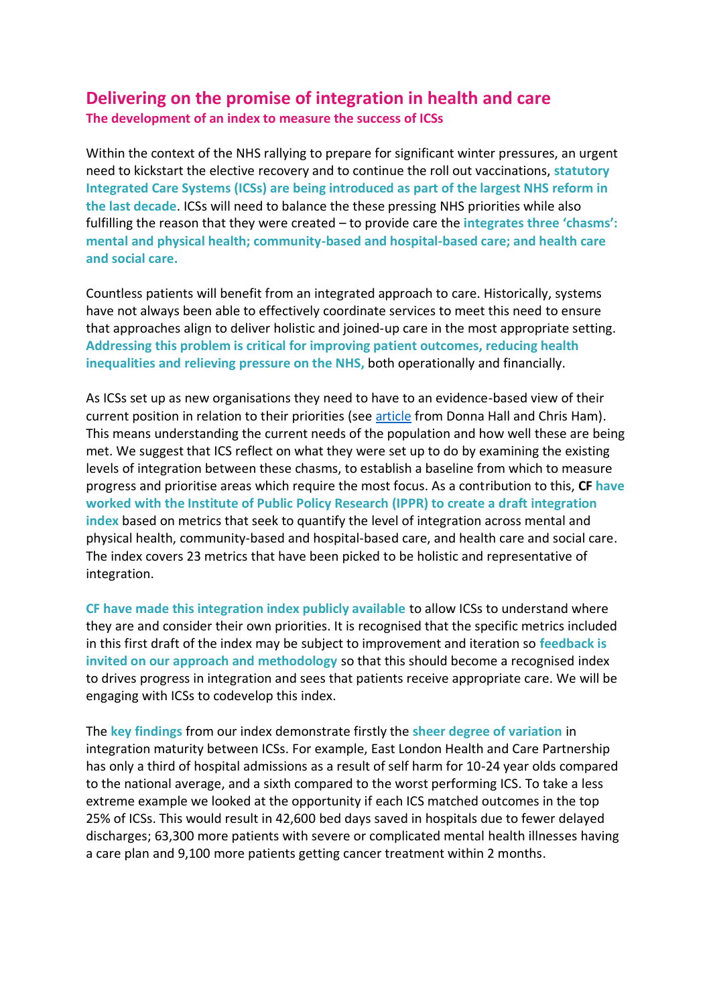## **Delivering on the promise of integration in health and care The development of an index to measure the success of ICSs**

Within the context of the NHS rallying to prepare for significant winter pressures, an urgent need to kickstart the elective recovery and to continue the roll out vaccinations, **statutory Integrated Care Systems (ICSs) are being introduced as part of the largest NHS reform in the last decade**. ICSs will need to balance the these pressing NHS priorities while also fulfilling the reason that they were created – to provide care the **integrates three 'chasms': mental and physical health; community-based and hospital-based care; and health care and social care.** 

Countless patients will benefit from an integrated approach to care. Historically, systems have not always been able to effectively coordinate services to meet this need to ensure that approaches align to deliver holistic and joined-up care in the most appropriate setting. **Addressing this problem is critical for improving patient outcomes, reducing health inequalities and relieving pressure on the NHS,** both operationally and financially.

As ICSs set up as new organisations they need to have to an evidence-based view of their current position in relation to their priorities (see [article](https://carnallfarrar.com/articles/a-single-version-of-the-truth-data-and-analytics-in-integrated-care-systems/) from Donna Hall and Chris Ham). This means understanding the current needs of the population and how well these are being met. We suggest that ICS reflect on what they were set up to do by examining the existing levels of integration between these chasms, to establish a baseline from which to measure progress and prioritise areas which require the most focus. As a contribution to this, **CF have worked with the Institute of Public Policy Research (IPPR) to create a draft integration index** based on metrics that seek to quantify the level of integration across mental and physical health, community-based and hospital-based care, and health care and social care. The index covers 23 metrics that have been picked to be holistic and representative of integration.

**CF have made this integration index publicly available** to allow ICSs to understand where they are and consider their own priorities. It is recognised that the specific metrics included in this first draft of the index may be subject to improvement and iteration so **feedback is invited on our approach and methodology** so that this should become a recognised index to drives progress in integration and sees that patients receive appropriate care. We will be engaging with ICSs to codevelop this index.

The **key findings** from our index demonstrate firstly the **sheer degree of variation** in integration maturity between ICSs. For example, East London Health and Care Partnership has only a third of hospital admissions as a result of self harm for 10-24 year olds compared to the national average, and a sixth compared to the worst performing ICS. To take a less extreme example we looked at the opportunity if each ICS matched outcomes in the top 25% of ICSs. This would result in 42,600 bed days saved in hospitals due to fewer delayed discharges; 63,300 more patients with severe or complicated mental health illnesses having a care plan and 9,100 more patients getting cancer treatment within 2 months.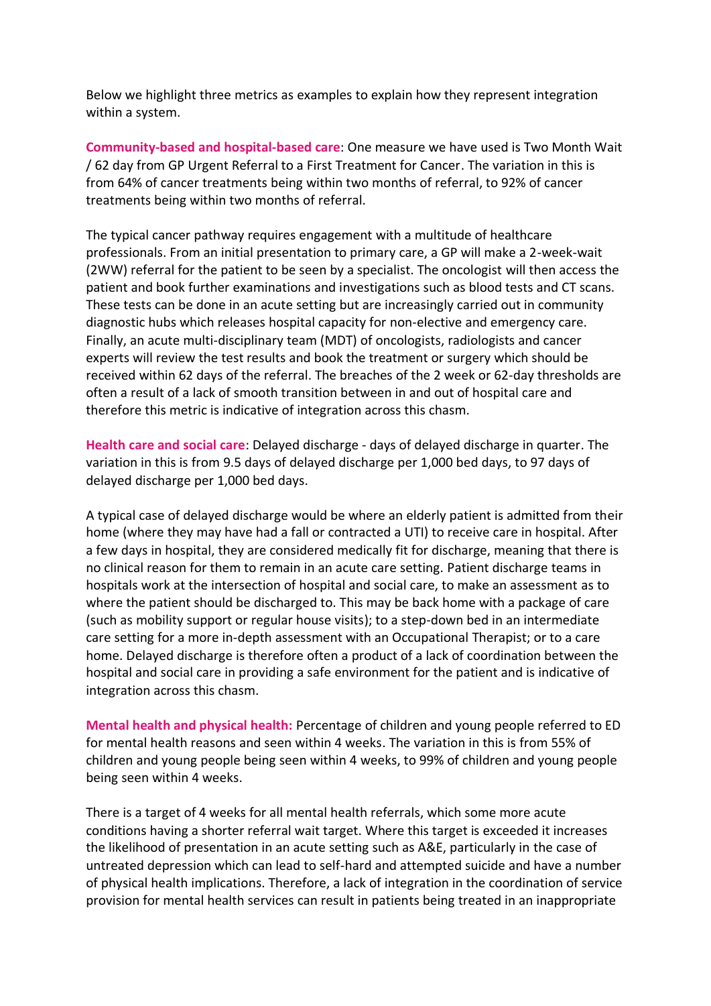Below we highlight three metrics as examples to explain how they represent integration within a system.

**Community-based and hospital-based care**: One measure we have used is Two Month Wait / 62 day from GP Urgent Referral to a First Treatment for Cancer. The variation in this is from 64% of cancer treatments being within two months of referral, to 92% of cancer treatments being within two months of referral.

The typical cancer pathway requires engagement with a multitude of healthcare professionals. From an initial presentation to primary care, a GP will make a 2-week-wait (2WW) referral for the patient to be seen by a specialist. The oncologist will then access the patient and book further examinations and investigations such as blood tests and CT scans. These tests can be done in an acute setting but are increasingly carried out in community diagnostic hubs which releases hospital capacity for non-elective and emergency care. Finally, an acute multi-disciplinary team (MDT) of oncologists, radiologists and cancer experts will review the test results and book the treatment or surgery which should be received within 62 days of the referral. The breaches of the 2 week or 62-day thresholds are often a result of a lack of smooth transition between in and out of hospital care and therefore this metric is indicative of integration across this chasm.

**Health care and social care**: Delayed discharge - days of delayed discharge in quarter. The variation in this is from 9.5 days of delayed discharge per 1,000 bed days, to 97 days of delayed discharge per 1,000 bed days.

A typical case of delayed discharge would be where an elderly patient is admitted from their home (where they may have had a fall or contracted a UTI) to receive care in hospital. After a few days in hospital, they are considered medically fit for discharge, meaning that there is no clinical reason for them to remain in an acute care setting. Patient discharge teams in hospitals work at the intersection of hospital and social care, to make an assessment as to where the patient should be discharged to. This may be back home with a package of care (such as mobility support or regular house visits); to a step-down bed in an intermediate care setting for a more in-depth assessment with an Occupational Therapist; or to a care home. Delayed discharge is therefore often a product of a lack of coordination between the hospital and social care in providing a safe environment for the patient and is indicative of integration across this chasm.

**Mental health and physical health:** Percentage of children and young people referred to ED for mental health reasons and seen within 4 weeks. The variation in this is from 55% of children and young people being seen within 4 weeks, to 99% of children and young people being seen within 4 weeks.

There is a target of 4 weeks for all mental health referrals, which some more acute conditions having a shorter referral wait target. Where this target is exceeded it increases the likelihood of presentation in an acute setting such as A&E, particularly in the case of untreated depression which can lead to self-hard and attempted suicide and have a number of physical health implications. Therefore, a lack of integration in the coordination of service provision for mental health services can result in patients being treated in an inappropriate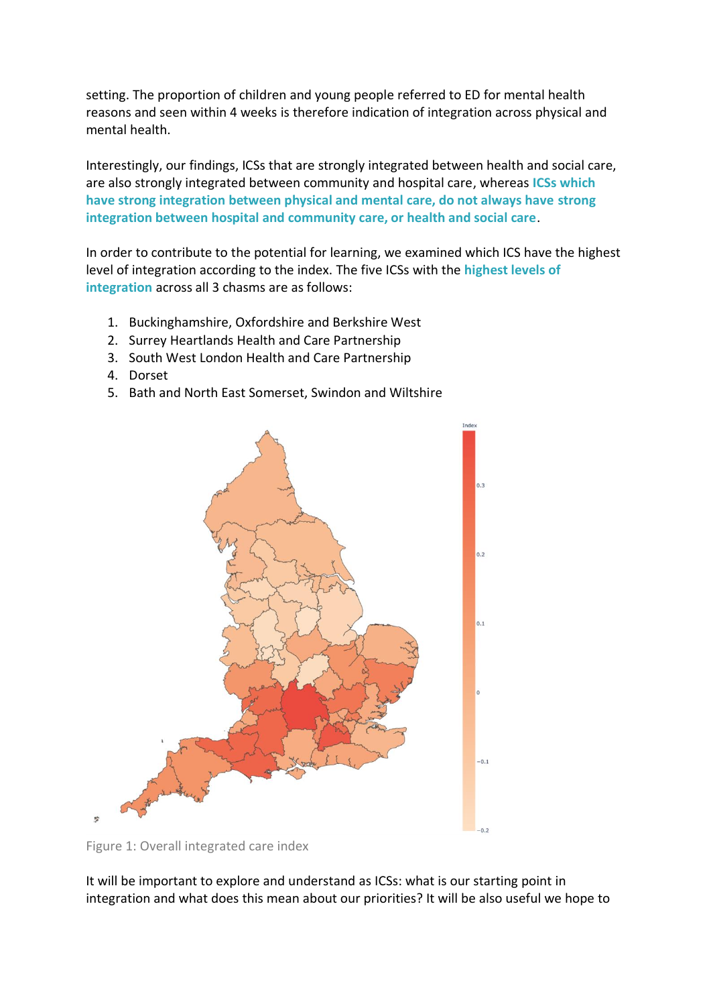setting. The proportion of children and young people referred to ED for mental health reasons and seen within 4 weeks is therefore indication of integration across physical and mental health.

Interestingly, our findings, ICSs that are strongly integrated between health and social care, are also strongly integrated between community and hospital care, whereas **ICSs which have strong integration between physical and mental care, do not always have strong integration between hospital and community care, or health and social care**.

In order to contribute to the potential for learning, we examined which ICS have the highest level of integration according to the index. The five ICSs with the **highest levels of integration** across all 3 chasms are as follows:

- 1. Buckinghamshire, Oxfordshire and Berkshire West
- 2. Surrey Heartlands Health and Care Partnership
- 3. South West London Health and Care Partnership
- 4. Dorset
- 5. Bath and North East Somerset, Swindon and Wiltshire



Figure 1: Overall integrated care index

It will be important to explore and understand as ICSs: what is our starting point in integration and what does this mean about our priorities? It will be also useful we hope to